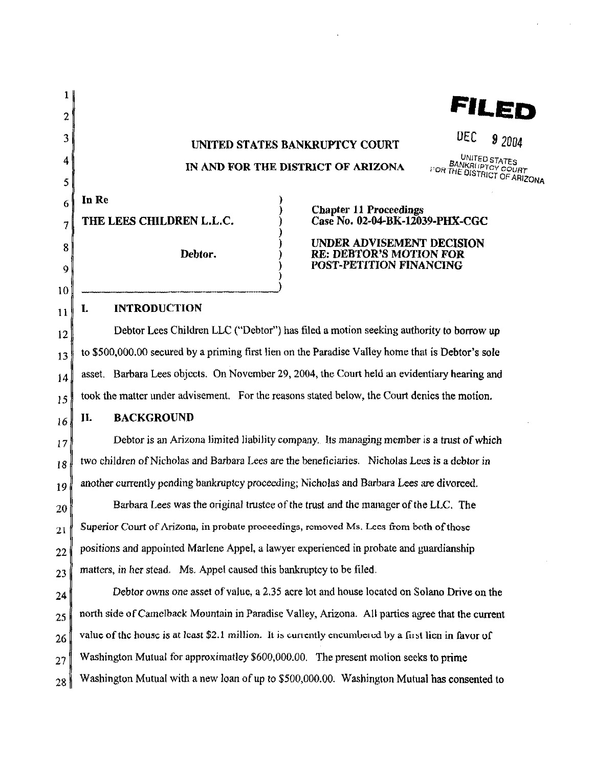| 1        |                                                                                                                       | FILE                                                                                   |
|----------|-----------------------------------------------------------------------------------------------------------------------|----------------------------------------------------------------------------------------|
| 2        |                                                                                                                       |                                                                                        |
| 3        | DEC<br>92004<br>UNITED STATES BANKRUPTCY COURT                                                                        |                                                                                        |
| 4        | UNITED STATES<br><b>BANKRITPTCY COURT</b><br>IN AND FOR THE DISTRICT OF ARIZONA<br><b>FOR THE DISTRICT OF ARIZONA</b> |                                                                                        |
| 5        |                                                                                                                       |                                                                                        |
| 6        | In Re                                                                                                                 | <b>Chapter 11 Proceedings</b><br>Case No. 02-04-BK-12039-PHX-CGC                       |
| 7        | THE LEES CHILDREN L.L.C.                                                                                              |                                                                                        |
| 8        | Debtor.                                                                                                               | UNDER ADVISEMENT DECISION<br><b>RE: DEBTOR'S MOTION FOR</b><br>POST-PETITION FINANCING |
| 9        |                                                                                                                       |                                                                                        |
| 10       | <b>INTRODUCTION</b><br>L                                                                                              |                                                                                        |
| 11       | Debtor Lees Children LLC ("Debtor") has filed a motion seeking authority to borrow up                                 |                                                                                        |
| 12       | to \$500,000.00 secured by a priming first lien on the Paradise Valley home that is Debtor's sole                     |                                                                                        |
| 13       | asset. Barbara Lees objects. On November 29, 2004, the Court held an evidentiary hearing and                          |                                                                                        |
| 14<br>15 | took the matter under advisement. For the reasons stated below, the Court denies the motion.                          |                                                                                        |
| 16       | П.<br><b>BACKGROUND</b>                                                                                               |                                                                                        |
| 17       | Debtor is an Arizona limited liability company. Its managing member is a trust of which                               |                                                                                        |
| 18       | two children of Nicholas and Barbara Lees are the beneficiaries. Nicholas Lees is a debtor in                         |                                                                                        |
| 19       | another currently pending bankruptcy proceeding; Nicholas and Barbara Lees are divorced.                              |                                                                                        |
| 20       | Barbara Lees was the original trustee of the trust and the manager of the LLC. The                                    |                                                                                        |
| 21       | Superior Court of Arizona, in probate proceedings, removed Ms. Lees from both of those                                |                                                                                        |
| 22       | positions and appointed Marlene Appel, a lawyer experienced in probate and guardianship                               |                                                                                        |
| 23       | matters, in her stead. Ms. Appel caused this bankruptcy to be filed.                                                  |                                                                                        |
| 24       | Debtor owns one asset of value, a 2.35 acre lot and house located on Solano Drive on the                              |                                                                                        |
| 25       | north side of Camelback Mountain in Paradise Valley, Arizona. All parties agree that the current                      |                                                                                        |
| 26       | value of the house is at least \$2.1 million. It is currently encumbered by a first lien in favor of                  |                                                                                        |
| 27       | Washington Mutual for approximatley \$600,000.00. The present motion seeks to prime                                   |                                                                                        |
| 28       | Washington Mutual with a new loan of up to \$500,000.00. Washington Mutual has consented to                           |                                                                                        |

 $\mathcal{L}^{\text{max}}_{\text{max}}$  and  $\mathcal{L}^{\text{max}}_{\text{max}}$ 

 $\label{eq:2.1} \frac{1}{\sqrt{2}}\int_{\mathbb{R}^3} \frac{d\mu}{\mu} \left( \frac{d\mu}{\mu} \right)^2 \frac{d\mu}{\mu} \left( \frac{d\mu}{\mu} \right)^2 \frac{d\mu}{\mu} \left( \frac{d\mu}{\mu} \right)^2 \frac{d\mu}{\mu} \left( \frac{d\mu}{\mu} \right)^2.$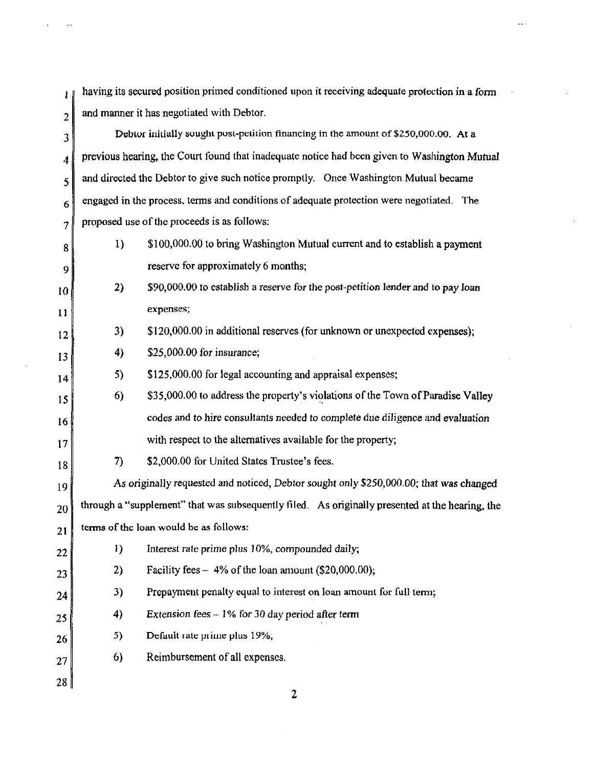having its secured position primed conditioned upon it receiving adequate protection in a form  $\mathbf{I}$  $2 \parallel$  and manner it has negotiated with Debtor.

 $3 \text{}$  Debtor initially sought post-petition financing in the amount of \$250,000.00. At a  $4 \parallel$  previous hearing, the Court found that inadequate notice had been given to Washington Mutual 5 and directed the Debtor to give such notice promptly. Once Washington Mutual became  $6\degree$  engaged in the process, terms and conditions of adequate protection were negotiated. The  $7 \parallel$  proposed use of the proceeds is as follows:  $8 \parallel$  1) \$100,000.00 to bring Washington Mutual current and to establish a payment 9 10 11 12 13 14 15 16 17 18 19 20 21 22 23 24 25 26 27 28 2) 3) 4) 5) 6) reserve for approximately 6 months; \$90,000.00 to establish a reserve for the post-petition lender and to pay loan expenses; \$120,000.00 in additional reserves (for unknown or unexpected expenses); \$25,000.00 for insurance; \$125,000.00 for legal accounting and appraisal expenses; \$35,000.00 to address the property's violations of the Town of Paradise Valley codes and to hire consultants needed to complete due diligence and evaluation with respect to the alternatives available for the property; 7) \$2,000.00 for United States Trustee's fees. As originally requested and noticed, Debtor sought only \$250,000.00; that was changed through a "supplement" that was subsequently filed. As originally presented at the hearing, the terms of the loan would be as follows: 1) Interest rate prime plus 10%, compounded daily; 2) Facility fees  $-4\%$  of the loan amount (\$20,000.00); 3) Prepayment penalty equal to interest on loan amount for full term; 4) Extension fees  $-1\%$  for 30 day period after term 5) Default rate prime plus  $19\%$ ; 6) Reimbursement of all expenses.

2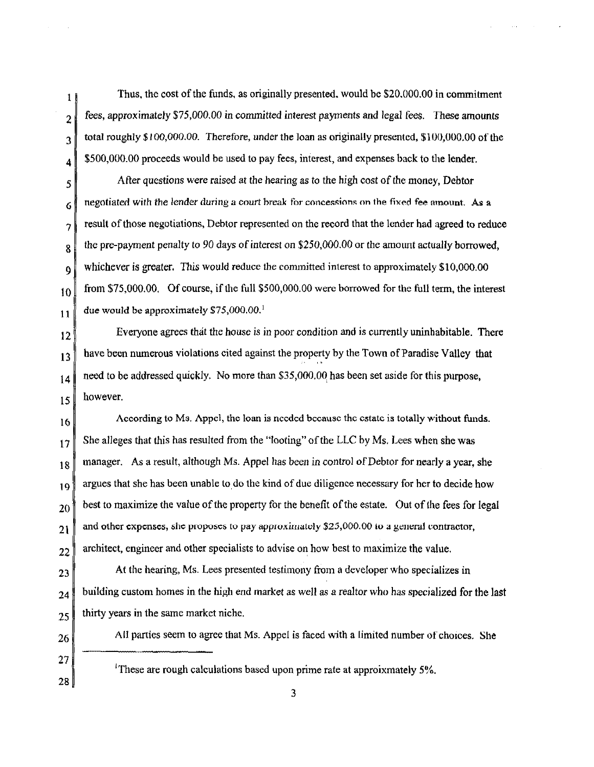Thus. the cost of the funds. as originally presented. would be \$20.000.00 in commitment fees, approximately \$75,000.00 in committed interest payments and legal tees. These amounts total roughly \$100,000.00. Therefore, under the loan as originally presented, \$100,000.00 of the \$500,000.00 proceeds would be used to pay fees, interest, and expenses back to the lender.

After questions were raised at the hearing as to the high cost of the money, Debtor negotiated with the lender during a court break for concessions on the fixed fee amount. As a result of those negotiations, Debtor represented on the record that the lender had agreed to reduce the pre-payment penalty to *90* days of interest on \$250,000.00 or the amount actually borrowed, whichever is greater. This would reduce the committed interest to approximately \$10,000.00 from \$75,000.00. Of course, if the full \$500,000.00 were borrowed for the full term, the interest due would be approximately  $$75,000.00<sup>1</sup>$ 

Everyone agrees that the house is in poor condition and is currently uninhabitable. There have been numerous violations cited against the property by the Town of Paradise Valley that need to be addressed quickly. No more than \$35,000.00 has been set aside for this purpose, however.

16 17 18 19 20 21 22 According to Ms. Appel, the loan is needed because the estate is totally without funds. She alleges that this has resulted from the "looting" of the LLC by Ms. Lees when she was manager. As a result, although Ms. Appel has been in control of Debtor for nearly a year, she argues that she has been unable to do the kind of due diligence necessary for her to decide how best to maximize the value of the property for the benefit of the estate. Out of the fees for legal and other expenses, she proposes to pay approximately  $$25,000.00$  to a general contractor, architect, engineer and other specialists to advise on how best to maximize the value.

23 24 25 At the hearing, Ms. Lees presented testimony from a developer who specializes in building custom homes in the high end market as well as a realtor who has specialized for the last thirty years in the same market niche.

26

1

2

3

4

*5* 

6

7

8

9

10

11

12

13

14

15

All parties seem to agree that Ms. Appel is faced with a limited number of choices. She

27 28

<sup>1</sup>These are rough calculations based upon prime rate at approixmately 5%.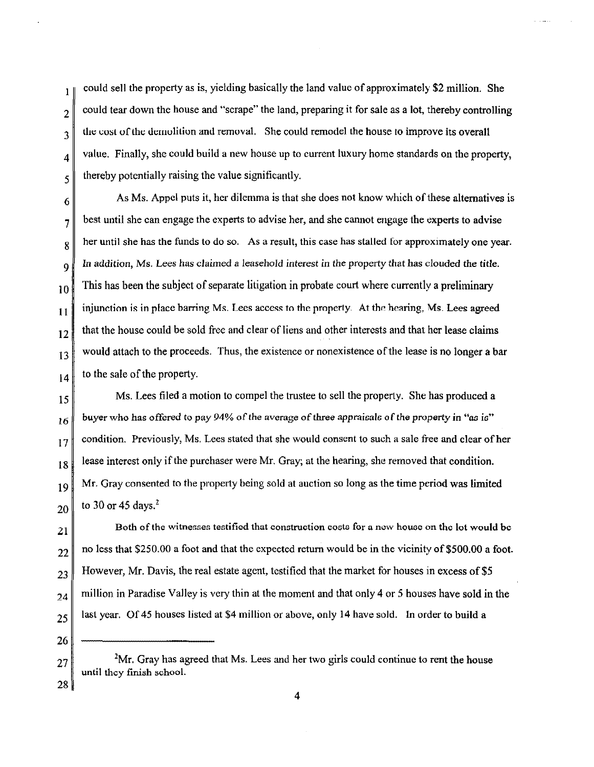could sell the property as is, yielding basically the land value of approximately \$2 million. She  $\mathbf{1}$ could tear down the house and "scrape" the land, preparing it for sale as a lot, thereby controlling 2 the cost of the demolition and removal. She could remodel the house to improve its overall 3 value. Finally, she could build a new house up to current luxury home standards on the property, 4 thereby potentially raising the value significantly. 5

6 7 8 9 10 11 12 13 14 As Ms. Appel puts it, her dilemma is that she does not know which of these alternatives is best until she can engage the experts to advise her, and she cannot engage the experts to advise her until she has the funds to do so. As a result, this case has stalled for approximately one year. In addition, Ms. Lees has claimed a leasehold interest in the property that has clouded the title. This has heen the subject of separate litigation in probate court where currently a preliminary injunction is in place barring Ms. Lees access to the property. At the hearing, Ms. Lees agreed that the house could be sold free and clear of liens and other interests and that her lease claims would attach to the proceeds. Thus, the existence or nonexistence of the lease is no longer a bar to the sale of the property.

15 !6 17 18 19 20 Ms. Lees filed a motion to compel the trustee to sell the property. She has produced a buyer who has offered to pay 94% of the average of three appraisals of the property in *"as* is" condition. Previously, Ms. Lees stated that she would consent to such a sale free and clear of her lease interest only if the purchaser were Mr. Gray; at the hearing, she removed that condition. Mr. Gray consented to the property heing sold at auction so long as the time period was limited to 30 or 45 days. $2$ 

21 22 23 24 25 Both of the witnesses testified that construction costs for a new house on the lot would be no less that \$250.00 a foot and that the expected return would be in the vicinity of \$500.00 a foot. However, Mr. Davis, the real estate agent, testified that the market for houses in excess of \$5 million in Paradise Valley is very thin at the moment and that only 4 or *5* houses have sold in the last year. Of 45 houses listed at \$4 million or above, only 14 have sold. In order to build a

26 27 *<sup>2</sup>*

28

4

<sup>&</sup>lt;sup>2</sup>Mr. Gray has agreed that Ms. Lees and her two girls could continue to rent the house until they finish school.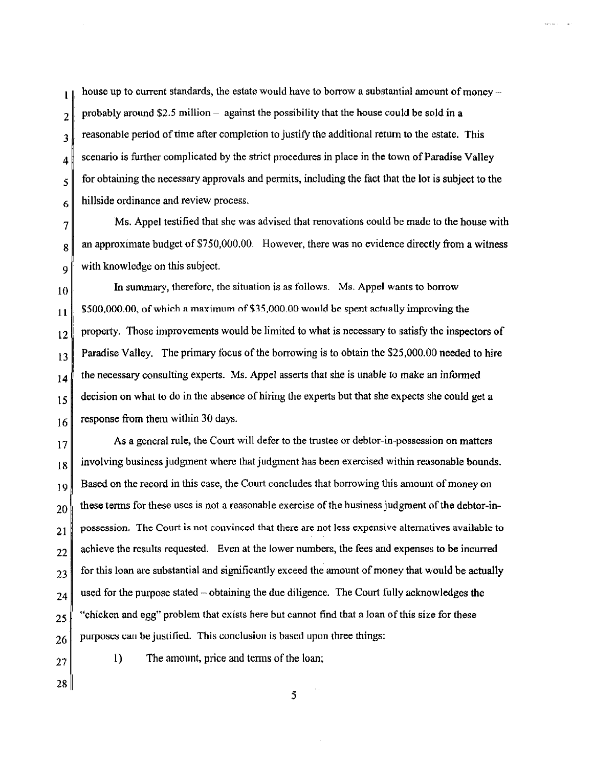house up to current standards, the estate would have to borrow a substantial amount of money –  $\mathbf{1}$ probably around  $$2.5$  million - against the possibility that the house could be sold in a 2 reasonable period of time after completion to justifY the additional retwn to the estate. This 3 scenario is further complicated by the strict procedures in place in the town of Paradise Valley 4 for obtaining the necessary approvals and permits, including the fact that the lot is subject to the *5*  hillside ordinance and review process. 6

7 8 9 Ms. Appel testified that she was advised that renovations could be made to the house with an approximate budget of \$750,000.00. However, there was no evidence directly from a witness with knowledge on this subject.

10 11 12 13 14 15 16 In summary, therefore, the situation is as follows. Ms. Appel wants to borrow \$500,000.00, of which a maximum of \$35,000.00 would be spent actually improving the property. Those improvements would be limited to what is necessary to satisfy the inspectors of Paradise Valley. The primary focus of the borrowing is to obtain the \$25,000.00 needed to hire the necessary consulting experts. Ms. Appel asserts that she is unable to make an informed decision on what to do in the absence of hiring the experts but that she expects she could get a response from them within 30 days.

17 18 19 20 21 22 23 24 25 26 As a general rule, the Court will defer to the trustee or debtor-in-possession on matters involving business judgment where that judgment has been exercised within reasonable bounds. Based on the record in this case, the Court concludes that borrowing this amount of money on these terms for these uses is not a reasonable exercise of the business judgment of the debtor-inpossession. The Court is not convinced that there are not less expensive alternatives available to achieve the results requested. Even at the lower numbers, the fees and expenses to be incurred for this loan are substantial and significantly exceed the amount of money that would be actually used for the purpose stated- obtaining the due diligence. The Court fully acknowledges the "chicken and egg" problem that exists here but cannot find that a loan of this size for these purposes can be justified. This conclusion is based upon three things:

27

I) The amount, price and terms of the Joan;

28

5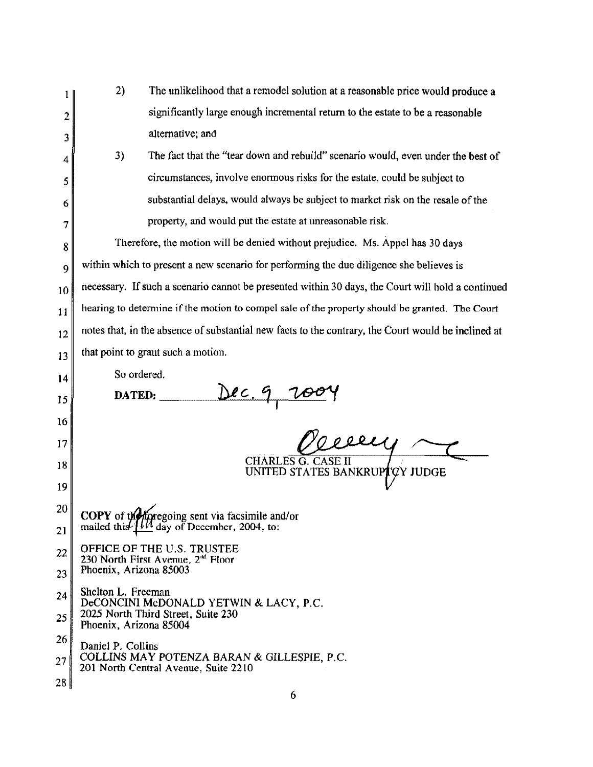|    | 2)<br>The unlikelihood that a remodel solution at a reasonable price would produce a                                         |  |  |
|----|------------------------------------------------------------------------------------------------------------------------------|--|--|
| 2  | significantly large enough incremental return to the estate to be a reasonable                                               |  |  |
| 3  | alternative; and                                                                                                             |  |  |
| 4  | 3)<br>The fact that the "tear down and rebuild" scenario would, even under the best of                                       |  |  |
| 5  | circumstances, involve enormous risks for the estate, could be subject to                                                    |  |  |
| 6  | substantial delays, would always be subject to market risk on the resale of the                                              |  |  |
| 7  | property, and would put the estate at unreasonable risk.                                                                     |  |  |
| 8  | Therefore, the motion will be denied without prejudice. Ms. Appel has 30 days                                                |  |  |
| 9  | within which to present a new scenario for performing the due diligence she believes is                                      |  |  |
| 10 | necessary. If such a scenario cannot be presented within 30 days, the Court will hold a continued                            |  |  |
| 11 | hearing to determine if the motion to compel sale of the property should be granted. The Court                               |  |  |
| 12 | notes that, in the absence of substantial new facts to the contrary, the Court would be inclined at                          |  |  |
| 13 | that point to grant such a motion.                                                                                           |  |  |
| 14 | So ordered.                                                                                                                  |  |  |
| 15 | <u>Dec. 9, 2</u><br>DATED:                                                                                                   |  |  |
| 16 |                                                                                                                              |  |  |
| 17 | eecy                                                                                                                         |  |  |
| 18 | <b>CHARLES G. CASE II</b><br>UNITED STATES BANKRUPTCY JUDGE                                                                  |  |  |
| 19 |                                                                                                                              |  |  |
| 20 | COPY of the foregoing sent via facsimile and/or<br>mailed this $\underline{111}$ day of December, 2004, to:                  |  |  |
| 21 |                                                                                                                              |  |  |
| 22 | OFFICE OF THE U.S. TRUSTEE<br>230 North First Avenue, 2 <sup>nd</sup> Floor<br>Phoenix, Arizona 85003                        |  |  |
| 23 |                                                                                                                              |  |  |
| 24 | Shelton L. Freeman<br>DeCONCINI McDONALD YETWIN & LACY, P.C.<br>2025 North Third Street, Suite 230<br>Phoenix, Arizona 85004 |  |  |
| 25 |                                                                                                                              |  |  |
| 26 | Daniel P. Collins                                                                                                            |  |  |
| 27 | COLLINS MAY POTENZA BARAN & GILLESPIE, P.C.<br>201 North Central Avenue, Suite 2210                                          |  |  |
| 28 | 6                                                                                                                            |  |  |
|    |                                                                                                                              |  |  |